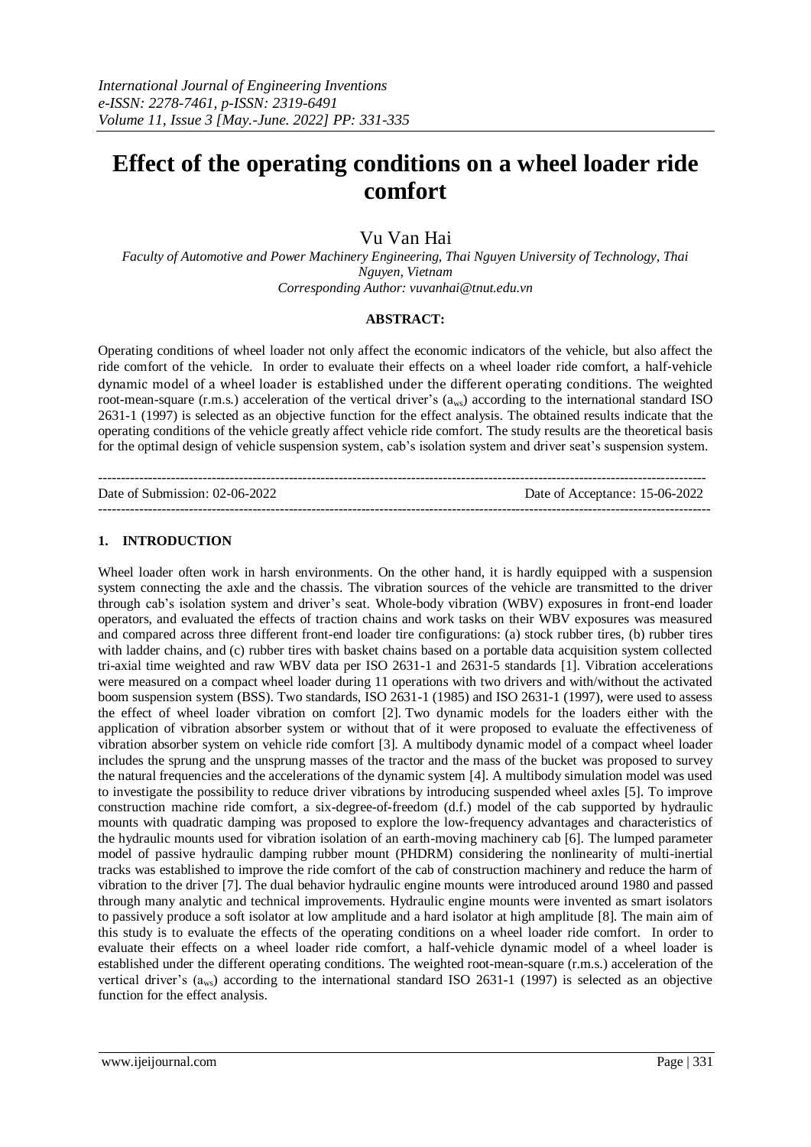# **Effect of the operating conditions on a wheel loader ride comfort**

# Vu Van Hai

*Faculty of Automotive and Power Machinery Engineering, Thai Nguyen University of Technology, Thai Nguyen, Vietnam Corresponding Author: vuvanhai@tnut.edu.vn*

#### **ABSTRACT:**

Operating conditions of wheel loader not only affect the economic indicators of the vehicle, but also affect the ride comfort of the vehicle. In order to evaluate their effects on a wheel loader ride comfort, a half-vehicle dynamic model of a wheel loader is established under the different operating conditions. The weighted root-mean-square (r.m.s.) acceleration of the vertical driver's  $(a_{ws})$  according to the international standard ISO 2631-1 (1997) is selected as an objective function for the effect analysis. The obtained results indicate that the operating conditions of the vehicle greatly affect vehicle ride comfort. The study results are the theoretical basis for the optimal design of vehicle suspension system, cab's isolation system and driver seat's suspension system.

-------------------------------------------------------------------------------------------------------------------------------------- Date of Submission: 02-06-2022 Date of Acceptance: 15-06-2022 ---------------------------------------------------------------------------------------------------------------------------------------

# **1. INTRODUCTION**

Wheel loader often work in harsh environments. On the other hand, it is hardly equipped with a suspension system connecting the axle and the chassis. The vibration sources of the vehicle are transmitted to the driver through cab's isolation system and driver's seat. Whole-body vibration (WBV) exposures in front-end loader operators, and evaluated the effects of traction chains and work tasks on their WBV exposures was measured and compared across three different front-end loader tire configurations: (a) stock rubber tires, (b) rubber tires with ladder chains, and (c) rubber tires with basket chains based on a portable data acquisition system collected tri-axial time weighted and raw WBV data per ISO 2631-1 and 2631-5 standards [1]. Vibration accelerations were measured on a compact wheel loader during 11 operations with two drivers and with/without the activated boom suspension system (BSS). Two standards, ISO 2631-1 (1985) and ISO 2631-1 (1997), were used to assess the effect of wheel loader vibration on comfort [2]. Two dynamic models for the loaders either with the application of vibration absorber system or without that of it were proposed to evaluate the effectiveness of vibration absorber system on vehicle ride comfort [3]. A multibody dynamic model of a compact wheel loader includes the sprung and the unsprung masses of the tractor and the mass of the bucket was proposed to survey the natural frequencies and the accelerations of the dynamic system [4]. A multibody simulation model was used to investigate the possibility to reduce driver vibrations by introducing suspended wheel axles [5]. To improve construction machine ride comfort, a six-degree-of-freedom (d.f.) model of the cab supported by hydraulic mounts with quadratic damping was proposed to explore the low-frequency advantages and characteristics of the hydraulic mounts used for vibration isolation of an earth-moving machinery cab [6]. The lumped parameter model of passive hydraulic damping rubber mount (PHDRM) considering the nonlinearity of multi-inertial tracks was established to improve the ride comfort of the cab of construction machinery and reduce the harm of vibration to the driver [7]. The dual behavior hydraulic engine mounts were introduced around 1980 and passed through many analytic and technical improvements. Hydraulic engine mounts were invented as smart isolators to passively produce a soft isolator at low amplitude and a hard isolator at high amplitude [8]. The main aim of this study is to evaluate the effects of the operating conditions on a wheel loader ride comfort.In order to evaluate their effects on a wheel loader ride comfort, a half-vehicle dynamic model of a wheel loader is established under the different operating conditions. The weighted root-mean-square (r.m.s.) acceleration of the vertical driver's  $(a_{ws})$  according to the international standard ISO 2631-1 (1997) is selected as an objective function for the effect analysis.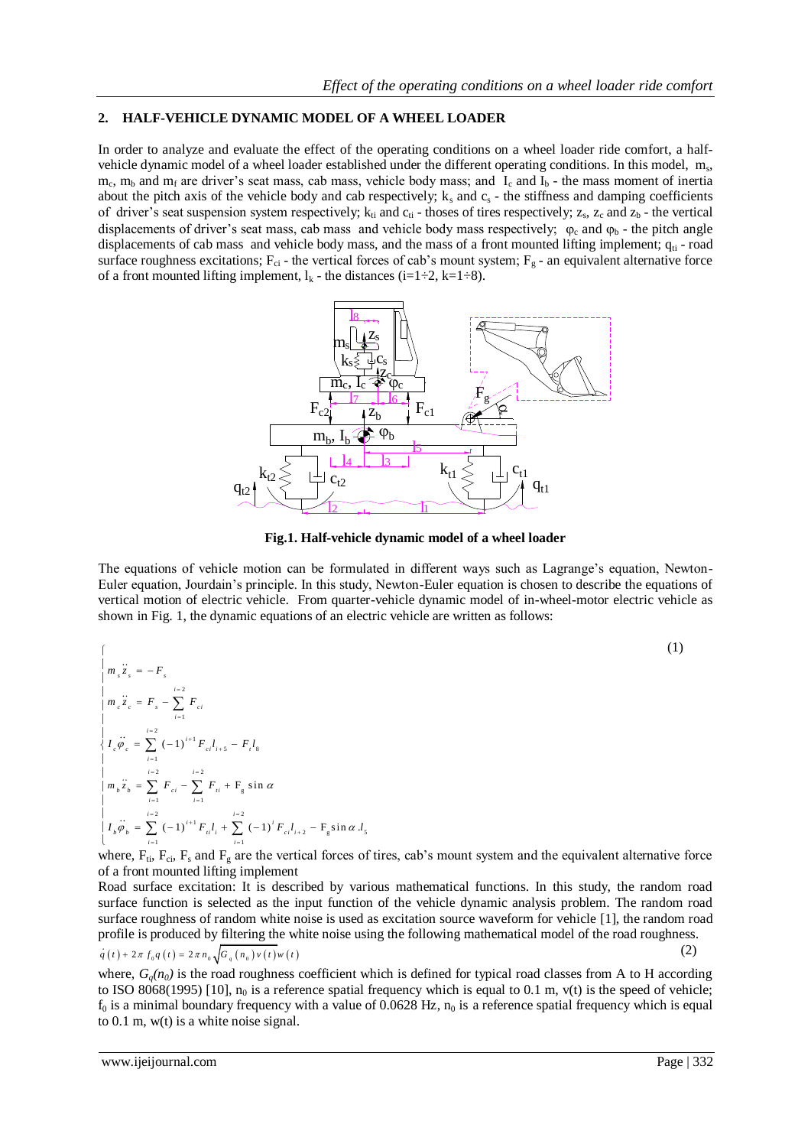# **2. HALF-VEHICLE DYNAMIC MODEL OF A WHEEL LOADER**

In order to analyze and evaluate the effect of the operating conditions on a wheel loader ride comfort, a halfvehicle dynamic model of a wheel loader established under the different operating conditions. In this model, m<sub>s</sub>,  $m_c$ ,  $m_b$  and  $m_f$  are driver's seat mass, cab mass, vehicle body mass; and  $I_c$  and  $I_b$  - the mass moment of inertia about the pitch axis of the vehicle body and cab respectively;  $k_s$  and  $c_s$  - the stiffness and damping coefficients of driver's seat suspension system respectively;  $k_{ti}$  and  $c_{ti}$  - thoses of tires respectively;  $z_s$ ,  $z_c$  and  $z_b$  - the vertical displacements of driver's seat mass, cab mass and vehicle body mass respectively;  $\varphi_c$  and  $\varphi_b$  - the pitch angle displacements of cab mass and vehicle body mass, and the mass of a front mounted lifting implement;  $q<sub>ti</sub>$  - road surface roughness excitations;  $F_{ci}$  - the vertical forces of cab's mount system;  $F_g$  - an equivalent alternative force of a front mounted lifting implement,  $l_k$  - the distances (i=1÷2, k=1÷8).



**Fig.1. Half-vehicle dynamic model of a wheel loader**

The equations of vehicle motion can be formulated in different ways such as Lagrange's equation, Newton-Euler equation, Jourdain's principle. In this study, Newton-Euler equation is chosen to describe the equations of vertical motion of electric vehicle. From quarter-vehicle dynamic model of in-wheel-motor electric vehicle as shown in Fig. 1, the dynamic equations of an electric vehicle are written as follows:

$$
\begin{cases}\n\int_{m} \dddot{x}_{s} = -F_{s} \\
\int_{m_{c} \ddot{x}_{c}} \dddot{x}_{s} = F_{s} - \sum_{i=1}^{i=2} F_{ci} \\
\int_{l} \dddot{\theta}_{c} \ddot{\theta}_{c} = \sum_{i=1}^{i=2} (-1)^{i+1} F_{ci} l_{i+5} - F_{i} l_{s} \\
\int_{l} \dddot{m}_{b} \ddot{\theta}_{b} = \sum_{i=1}^{i=2} F_{ci} - \sum_{i=1}^{i=2} F_{ii} + F_{g} \sin \alpha \\
\int_{l} \dddot{m}_{b} \ddot{\theta}_{b} = \sum_{i=1}^{i=2} (-1)^{i+1} F_{ii} l_{i} + \sum_{i=1}^{i=2} (-1)^{i} F_{ci} l_{i+2} - F_{g} \sin \alpha l_{s}\n\end{cases}
$$
\n(1)

where,  $F_{ti}$ ,  $F_{ci}$ ,  $F_s$  and  $F_g$  are the vertical forces of tires, cab's mount system and the equivalent alternative force of a front mounted lifting implement

Road surface excitation: It is described by various mathematical functions. In this study, the random road surface function is selected as the input function of the vehicle dynamic analysis problem. The random road surface roughness of random white noise is used as excitation source waveform for vehicle [1], the random road

profile is produced by filtering the white noise using the following mathematical model of the road roughness. 
$$
q(t) + 2\pi f_0 q(t) = 2\pi n_0 \sqrt{G_q(n_0)v(t)w(t)}
$$
 (2)

where,  $G<sub>o</sub>(n<sub>0</sub>)$  is the road roughness coefficient which is defined for typical road classes from A to H according to ISO 8068(1995) [10],  $n_0$  is a reference spatial frequency which is equal to 0.1 m, v(t) is the speed of vehicle;  $f_0$  is a minimal boundary frequency with a value of 0.0628 Hz,  $n_0$  is a reference spatial frequency which is equal to 0.1 m, w(t) is a white noise signal.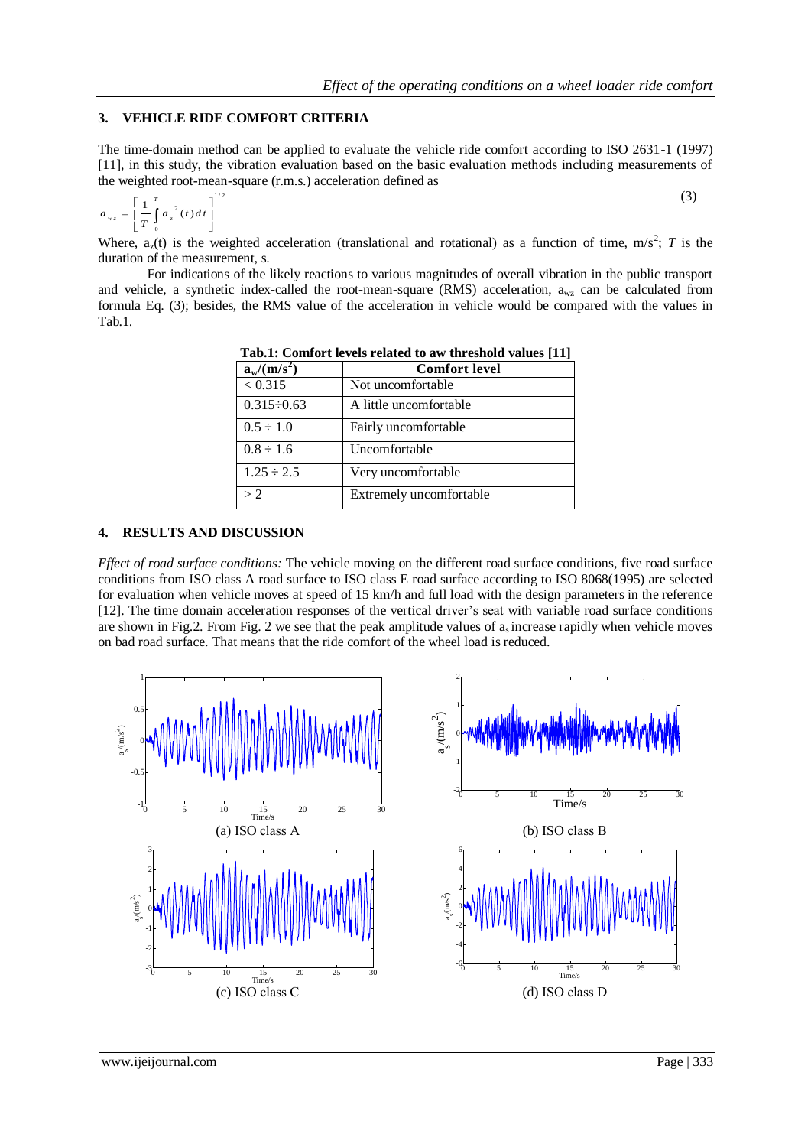# **3. VEHICLE RIDE COMFORT CRITERIA**

The time-domain method can be applied to evaluate the vehicle ride comfort according to ISO 2631-1 (1997) [11], in this study, the vibration evaluation based on the basic evaluation methods including measurements of the weighted root-mean-square (r.m.s.) acceleration defined as

$$
a_{wz} = \left[\frac{1}{T} \int_{0}^{T} a_z^{2}(t) dt\right]^{1/2}
$$

Where,  $a_2(t)$  is the weighted acceleration (translational and rotational) as a function of time, m/s<sup>2</sup>; *T* is the duration of the measurement, s.

For indications of the likely reactions to various magnitudes of overall vibration in the public transport and vehicle, a synthetic index-called the root-mean-square (RMS) acceleration,  $a_{wz}$  can be calculated from formula Eq. (3); besides, the RMS value of the acceleration in vehicle would be compared with the values in Tab.1.

| Tab.1: Comfort levels related to aw threshold values [11] |                         |
|-----------------------------------------------------------|-------------------------|
| $a_w/(m/s^2)$                                             | <b>Comfort level</b>    |
| < 0.315                                                   | Not uncomfortable       |
| $0.315 - 0.63$                                            | A little uncomfortable  |
| $0.5 \div 1.0$                                            | Fairly uncomfortable    |
| $0.8 \div 1.6$                                            | Uncomfortable           |
| $1.25 \div 2.5$                                           | Very uncomfortable      |
| > 2                                                       | Extremely uncomfortable |

**Tab.1: Comfort levels related to aw threshold values [11]**

### **4. RESULTS AND DISCUSSION**

*Effect of road surface conditions:* The vehicle moving on the different road surface conditions, five road surface conditions from ISO class A road surface to ISO class E road surface according to ISO 8068(1995) are selected for evaluation when vehicle moves at speed of 15 km/h and full load with the design parameters in the reference [12]. The time domain acceleration responses of the vertical driver's seat with variable road surface conditions are shown in Fig. 2. From Fig. 2 we see that the peak amplitude values of  $a_s$  increase rapidly when vehicle moves on bad road surface. That means that the ride comfort of the wheel load is reduced.



(3)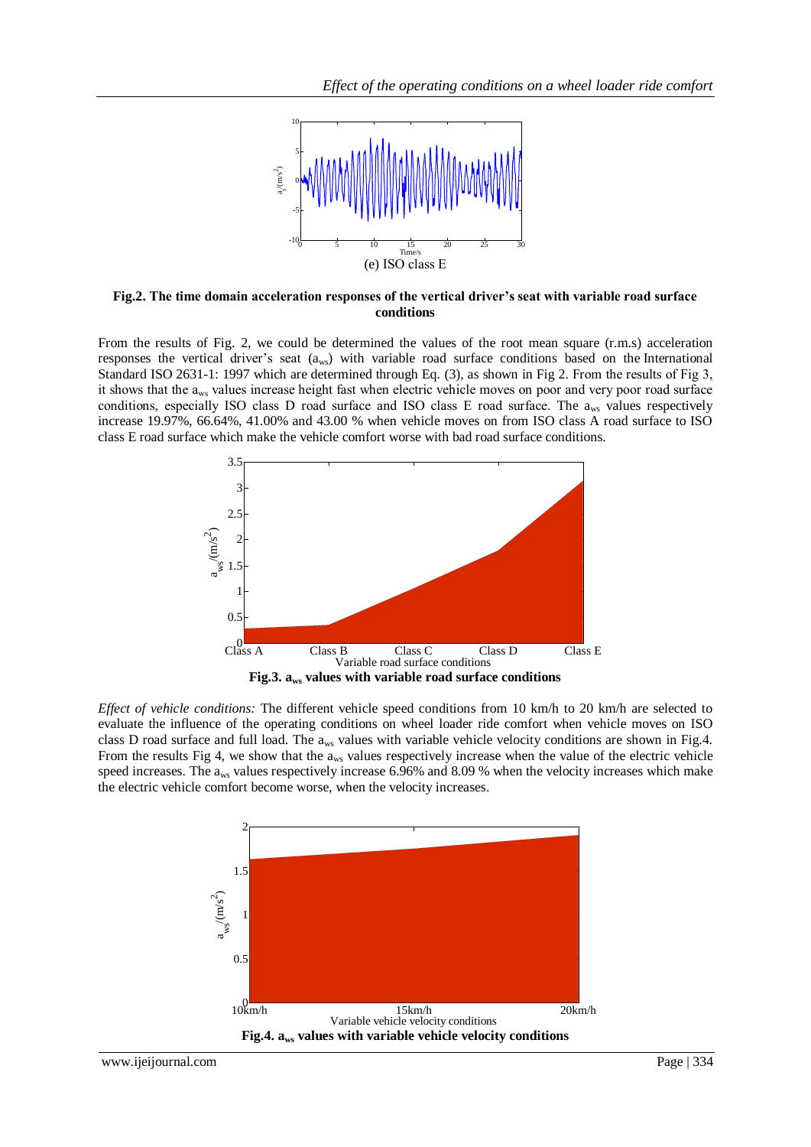

**Fig.2. The time domain acceleration responses of the vertical driver's seat with variable road surface conditions**

From the results of Fig. 2, we could be determined the values of the root mean square (r.m.s) acceleration responses the vertical driver's seat (aws) with variable road surface conditions based on the International Standard ISO 2631-1: 1997 which are determined through Eq. (3), as shown in Fig 2. From the results of Fig 3, it shows that the a<sub>ws</sub> values increase height fast when electric vehicle moves on poor and very poor road surface conditions, especially ISO class D road surface and ISO class E road surface. The  $a_{ws}$  values respectively increase 19.97%, 66.64%, 41.00% and 43.00 % when vehicle moves on from ISO class A road surface to ISO class E road surface which make the vehicle comfort worse with bad road surface conditions.



*Effect of vehicle conditions:* The different vehicle speed conditions from 10 km/h to 20 km/h are selected to evaluate the influence of the operating conditions on wheel loader ride comfort when vehicle moves on ISO class D road surface and full load. The aws values with variable vehicle velocity conditions are shown in Fig.4. From the results Fig 4, we show that the a<sub>ws</sub> values respectively increase when the value of the electric vehicle speed increases. The a<sub>ws</sub> values respectively increase 6.96% and 8.09 % when the velocity increases which make the electric vehicle comfort become worse, when the velocity increases.